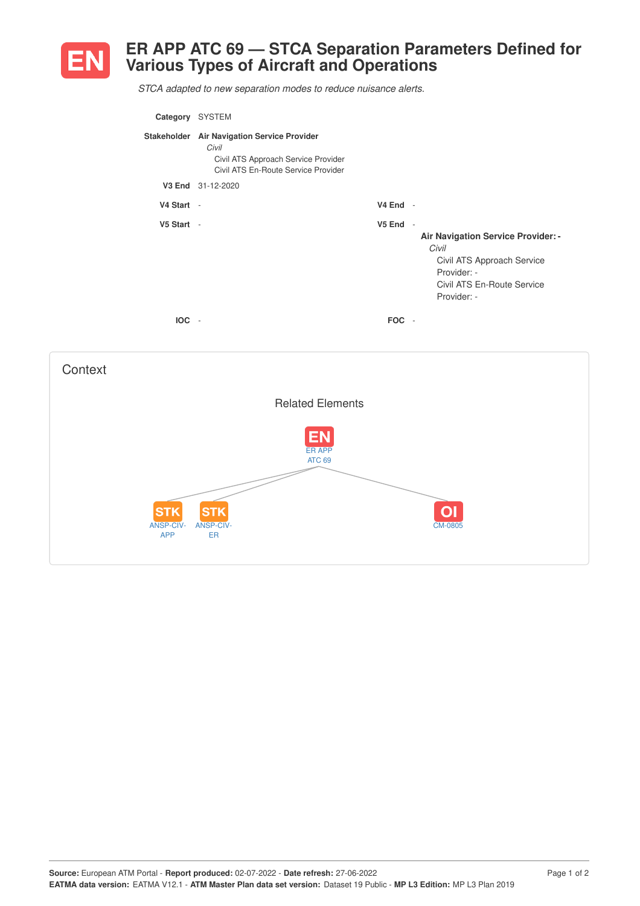

## **ER APP ATC 69 — STCA Separation Parameters Defined for Various Types of Aircraft and Operations**

*STCA adapted to new separation modes to reduce nuisance alerts.*